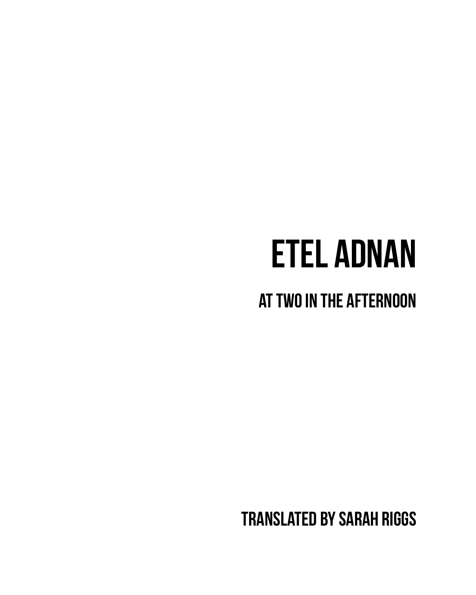## **etel adnan**

**at two in the afternoon**

**translated by sarah riggs**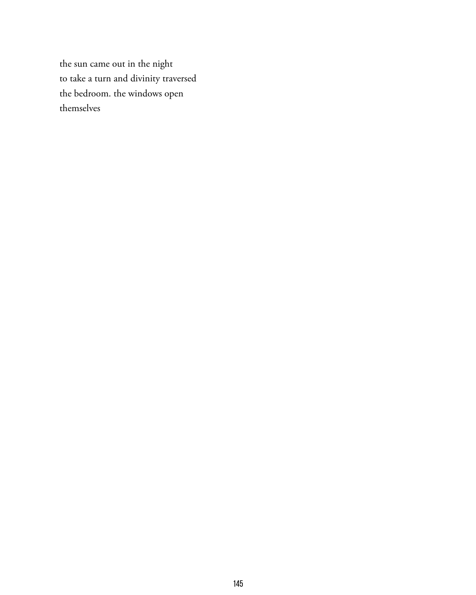the sun came out in the night to take a turn and divinity traversed the bedroom. the windows open themselves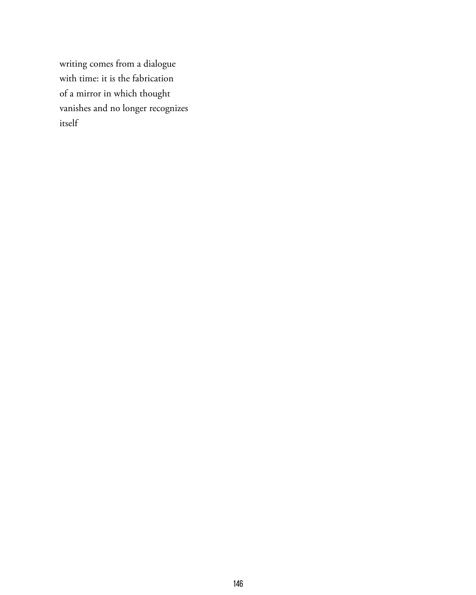writing comes from a dialogue with time: it is the fabrication of a mirror in which thought vanishes and no longer recognizes itself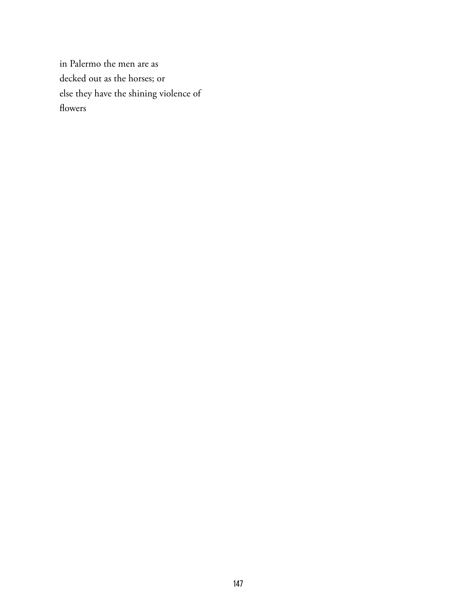in Palermo the men are as decked out as the horses; or else they have the shining violence of flowers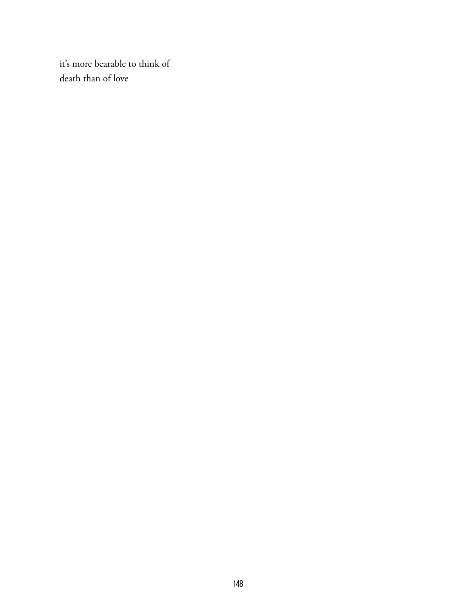it's more bearable to think of death than of love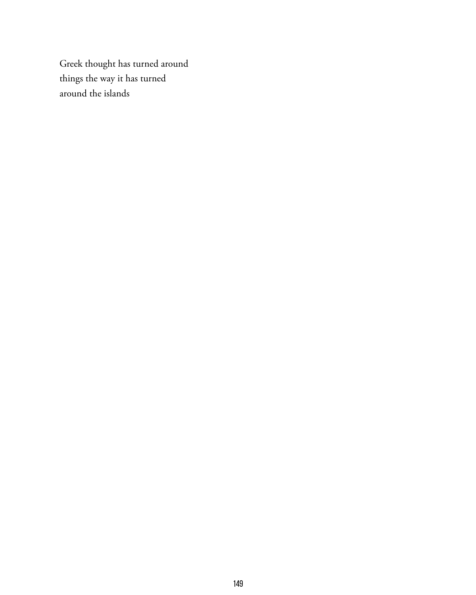Greek thought has turned around things the way it has turned around the islands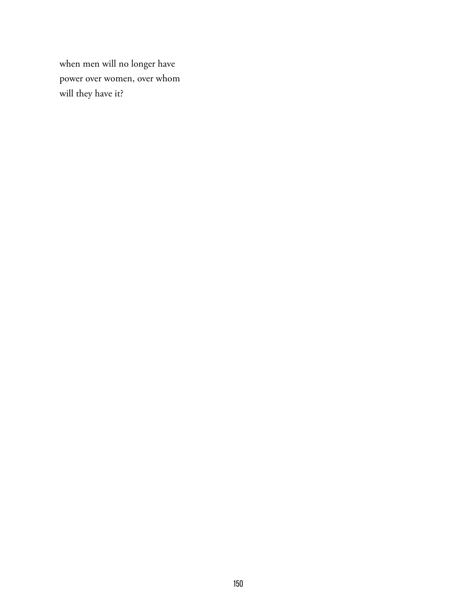when men will no longer have power over women, over whom will they have it?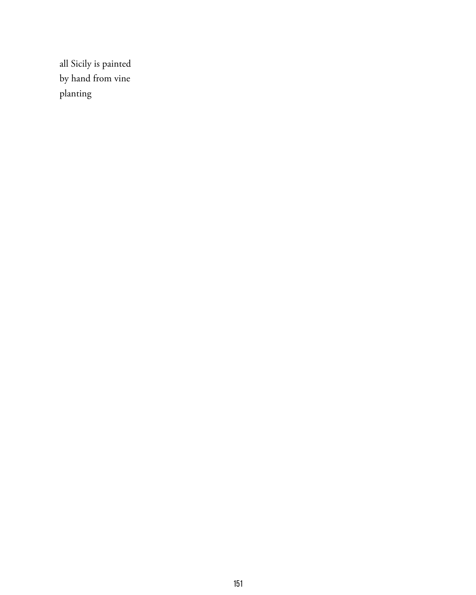all Sicily is painted by hand from vine planting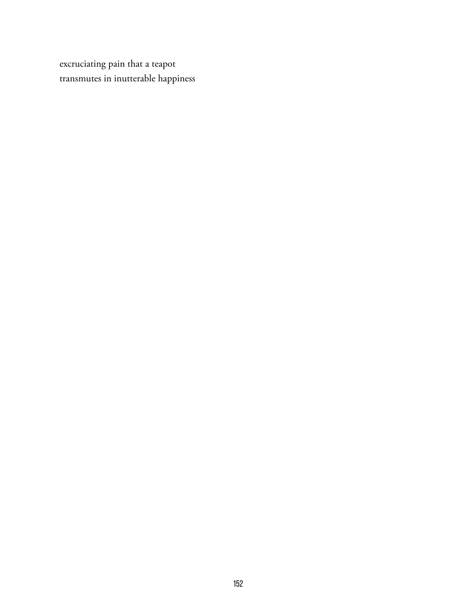excruciating pain that a teapot transmutes in inutterable happiness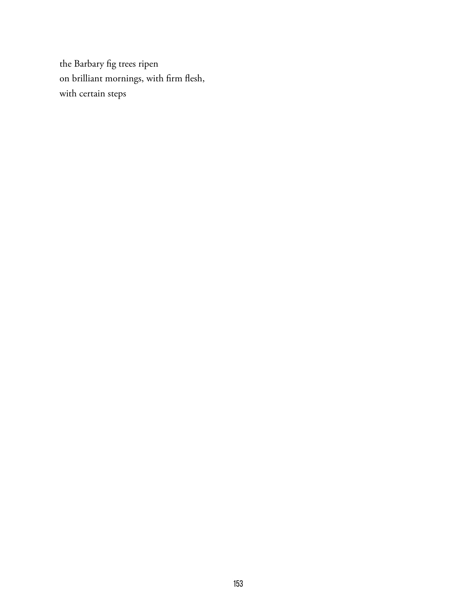the Barbary fig trees ripen on brilliant mornings, with firm flesh, with certain steps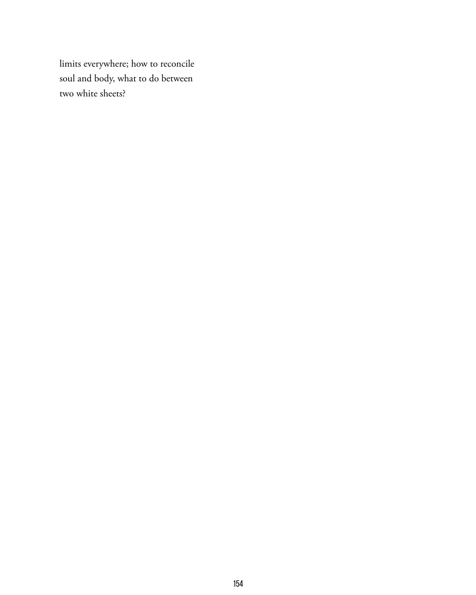limits everywhere; how to reconcile soul and body, what to do between two white sheets?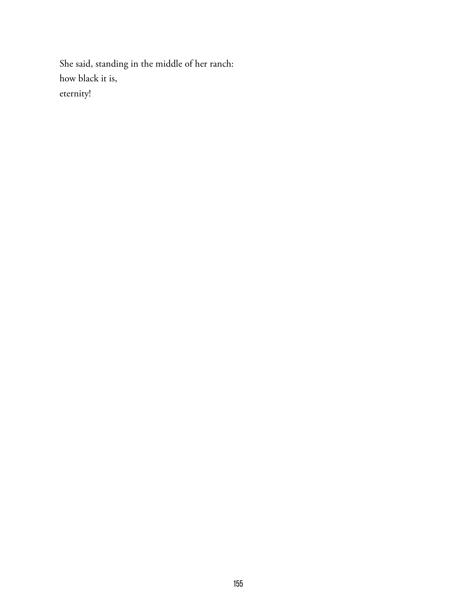She said, standing in the middle of her ranch: how black it is, eternity!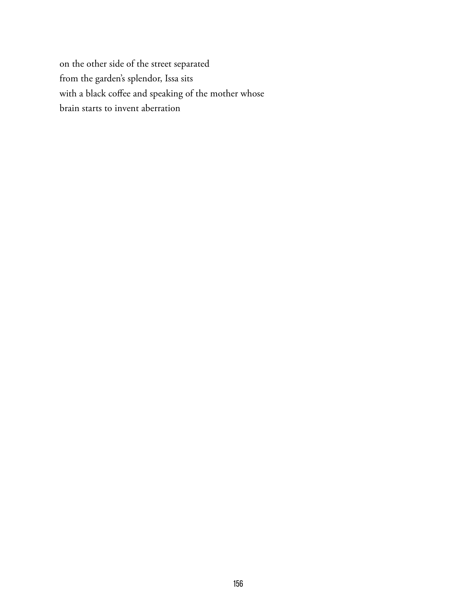on the other side of the street separated from the garden's splendor, Issa sits with a black coffee and speaking of the mother whose brain starts to invent aberration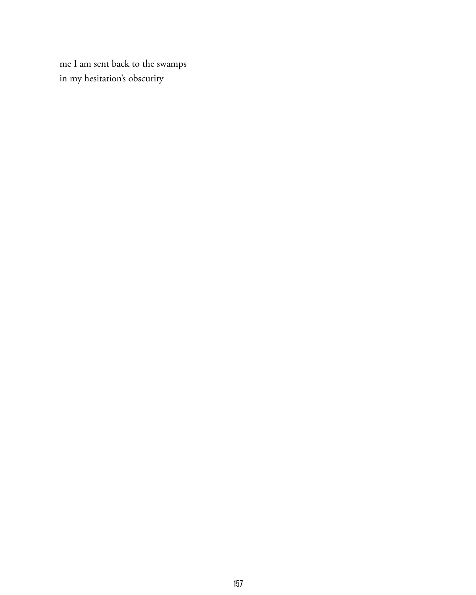me I am sent back to the swamps in my hesitation's obscurity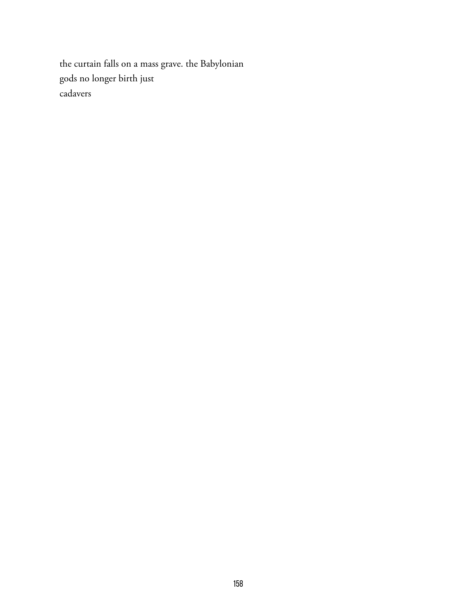the curtain falls on a mass grave. the Babylonian gods no longer birth just cadavers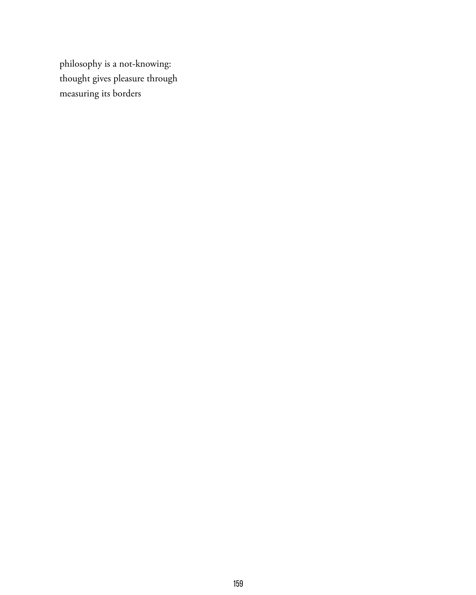philosophy is a not-knowing: thought gives pleasure through measuring its borders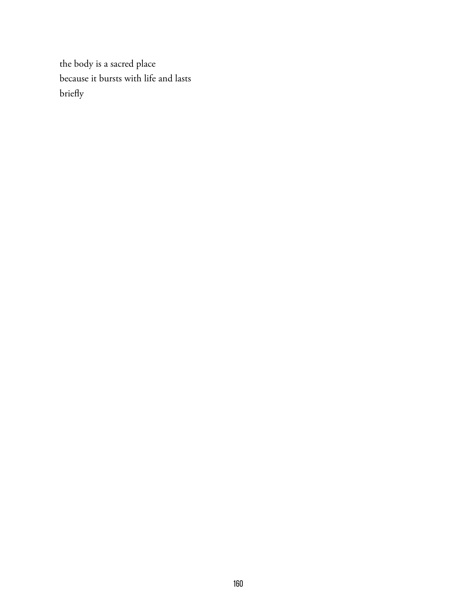the body is a sacred place because it bursts with life and lasts briefly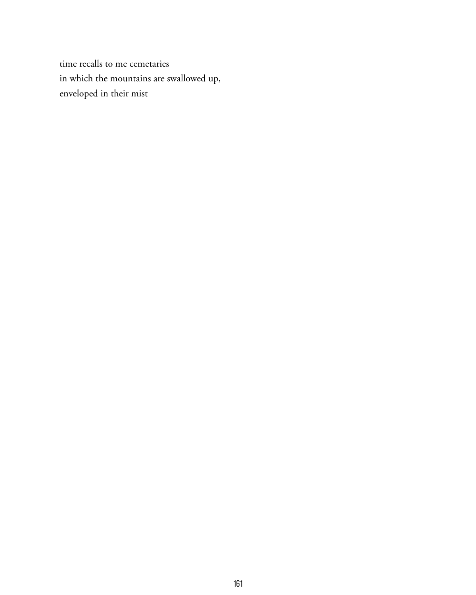time recalls to me cemetaries in which the mountains are swallowed up, enveloped in their mist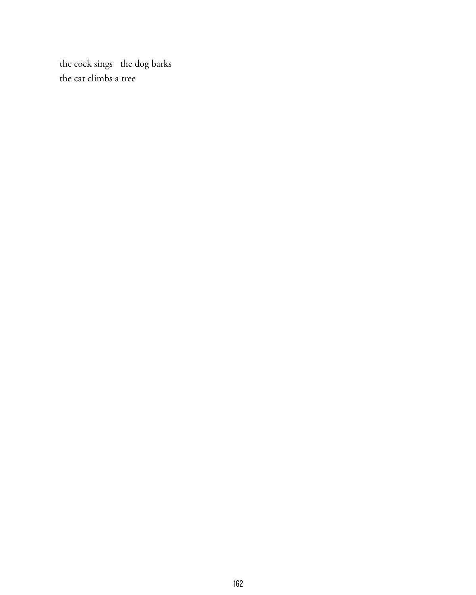the cock sings the dog barks the cat climbs a tree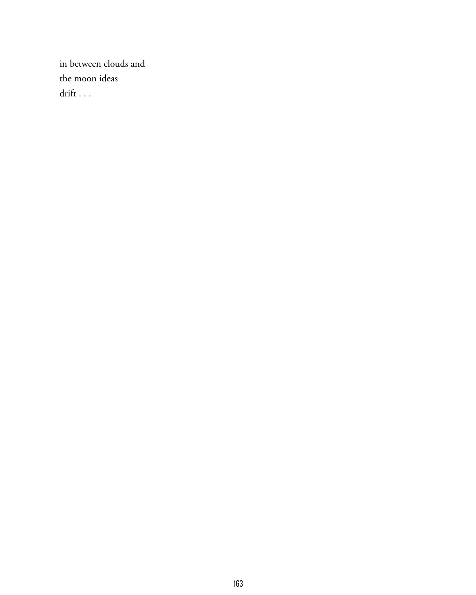in between clouds and the moon ideas drift . . .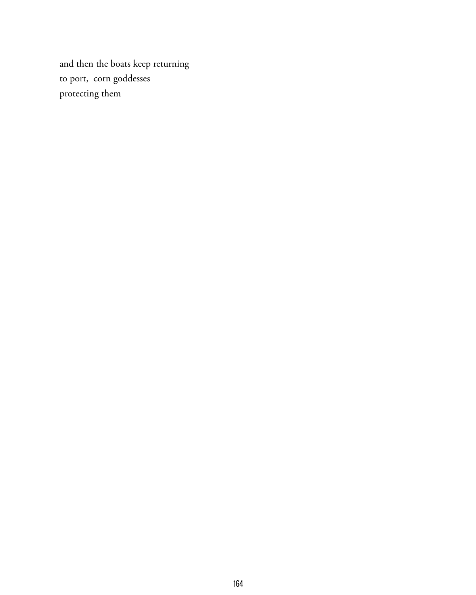and then the boats keep returning to port, corn goddesses protecting them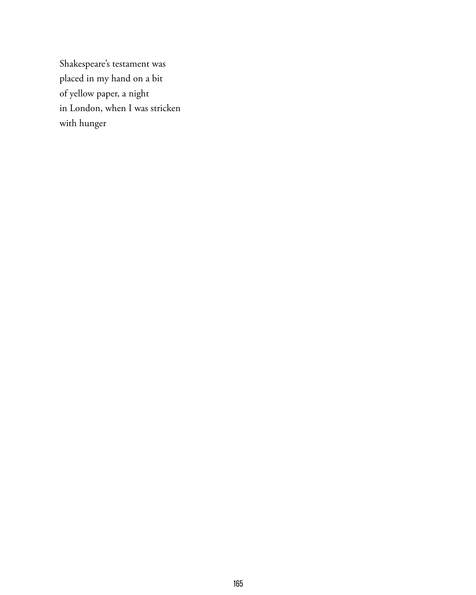Shakespeare's testament was placed in my hand on a bit of yellow paper, a night in London, when I was stricken with hunger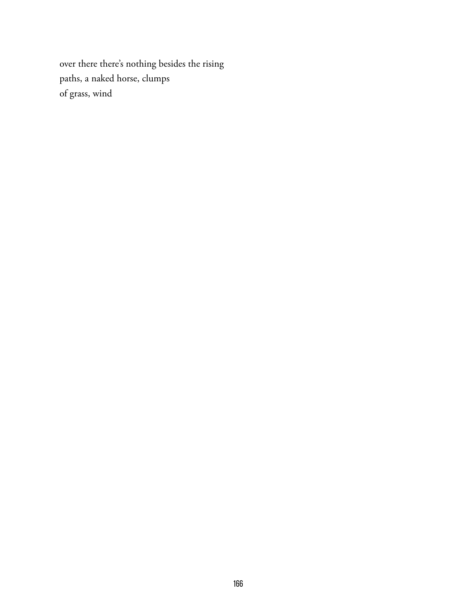over there there's nothing besides the rising paths, a naked horse, clumps of grass, wind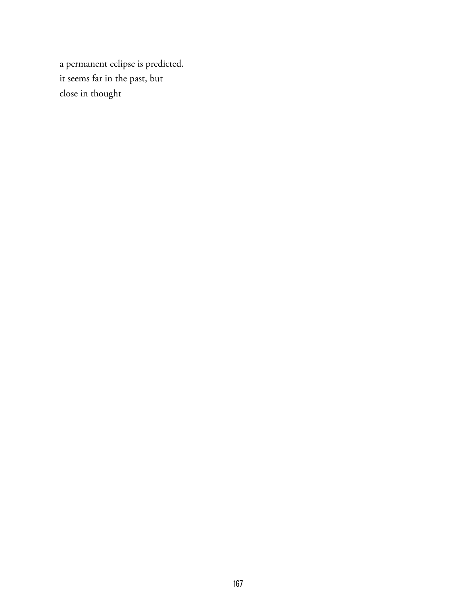a permanent eclipse is predicted. it seems far in the past, but close in thought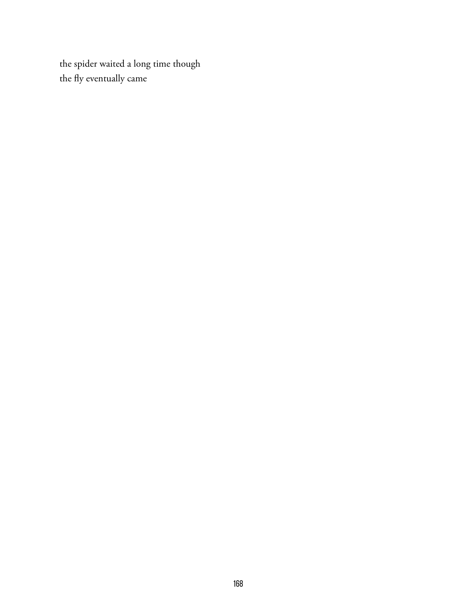the spider waited a long time though the fly eventually came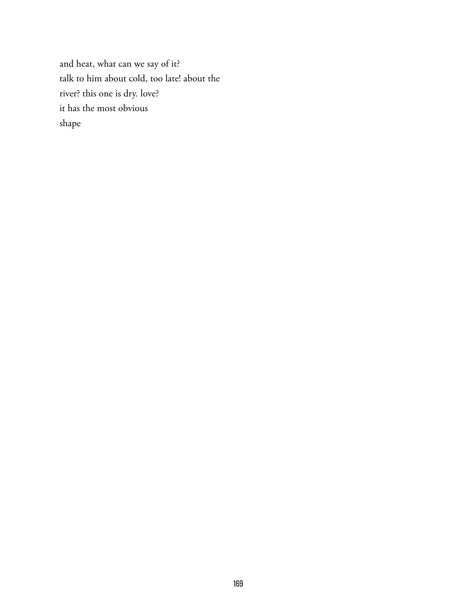and heat, what can we say of it? talk to him about cold, too late! about the river? this one is dry. love? it has the most obvious shape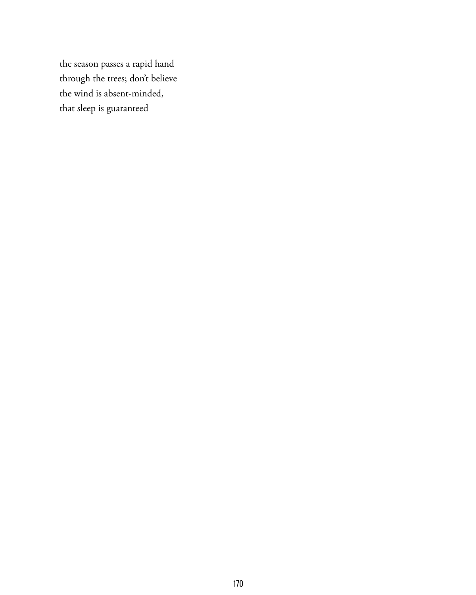the season passes a rapid hand through the trees; don't believe the wind is absent-minded, that sleep is guaranteed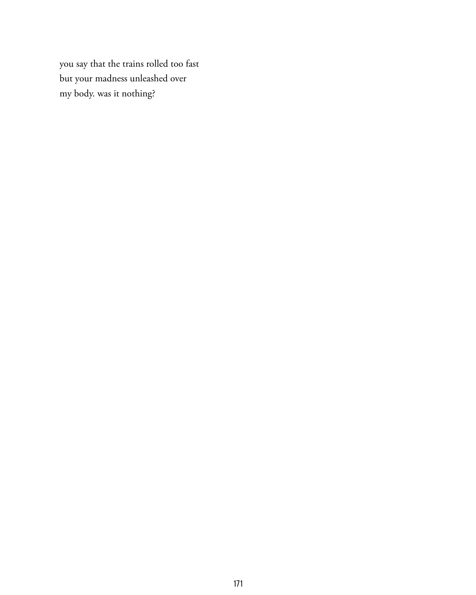you say that the trains rolled too fast but your madness unleashed over my body. was it nothing?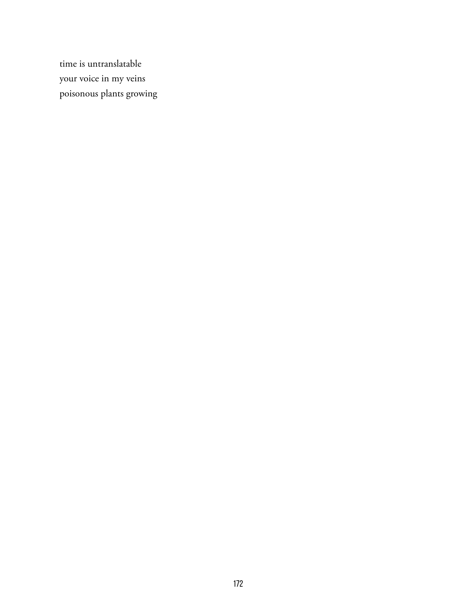time is untranslatable your voice in my veins poisonous plants growing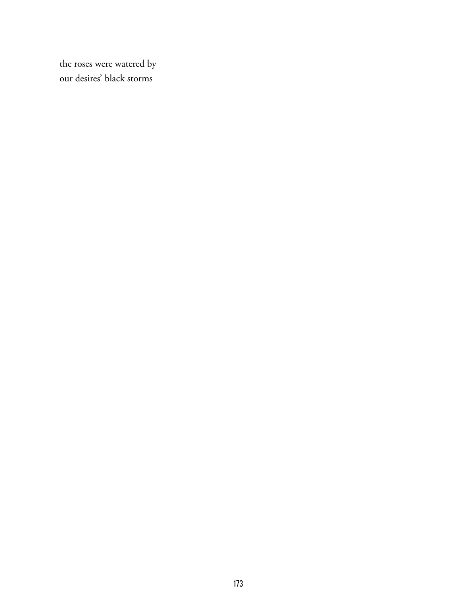the roses were watered by our desires' black storms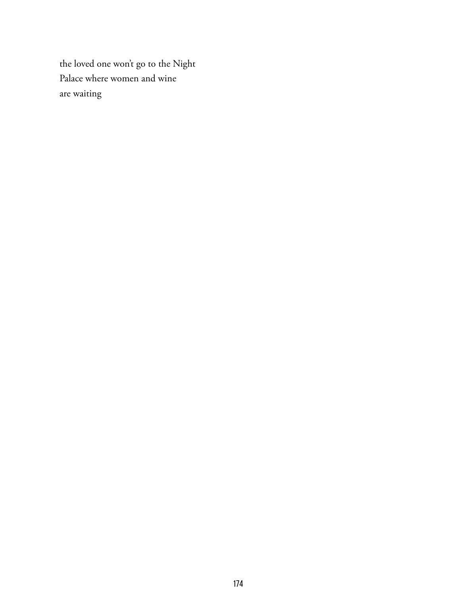the loved one won't go to the Night Palace where women and wine are waiting